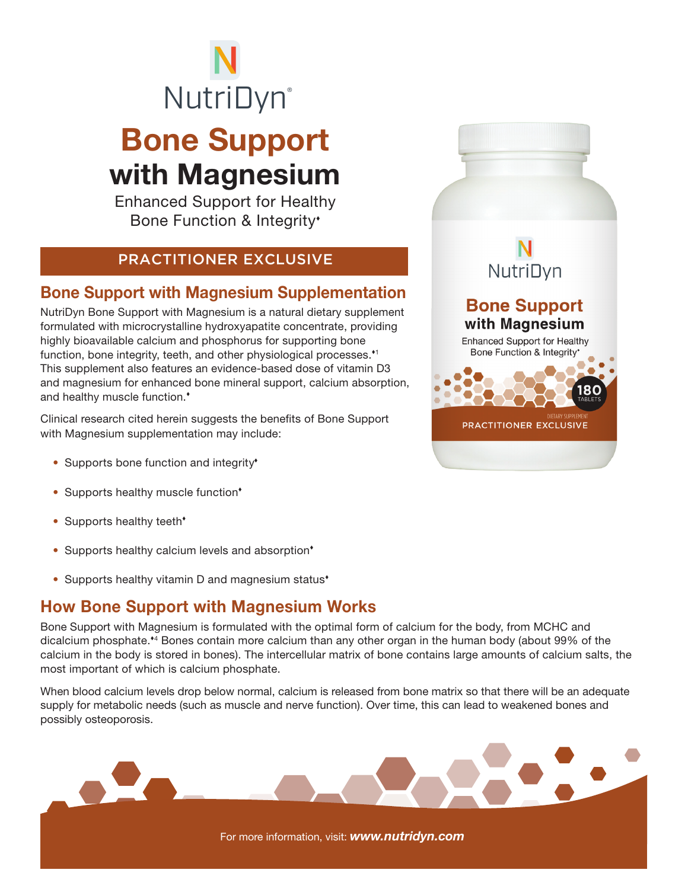

# Bone Support with Magnesium

Enhanced Support for Healthy Bone Function & Integrity

#### PRACTITIONER EXCLUSIVE

### Bone Support with Magnesium Supplementation

NutriDyn Bone Support with Magnesium is a natural dietary supplement formulated with microcrystalline hydroxyapatite concentrate, providing highly bioavailable calcium and phosphorus for supporting bone function, bone integrity, teeth, and other physiological processes.<sup>\*1</sup> This supplement also features an evidence-based dose of vitamin D3 and magnesium for enhanced bone mineral support, calcium absorption, and healthy muscle function.

Clinical research cited herein suggests the benefits of Bone Support with Magnesium supplementation may include:

- Supports bone function and integrity<sup>\*</sup>
- Supports healthy muscle function\*
- Supports healthy teeth<sup>\*</sup>
- Supports healthy calcium levels and absorption<sup>\*</sup>
- Supports healthy vitamin D and magnesium status<sup>\*</sup>

### How Bone Support with Magnesium Works

Bone Support with Magnesium is formulated with the optimal form of calcium for the body, from MCHC and dicalcium phosphate.<sup>\*4</sup> Bones contain more calcium than any other organ in the human body (about 99% of the calcium in the body is stored in bones). The intercellular matrix of bone contains large amounts of calcium salts, the most important of which is calcium phosphate.

When blood calcium levels drop below normal, calcium is released from bone matrix so that there will be an adequate supply for metabolic needs (such as muscle and nerve function). Over time, this can lead to weakened bones and possibly osteoporosis.